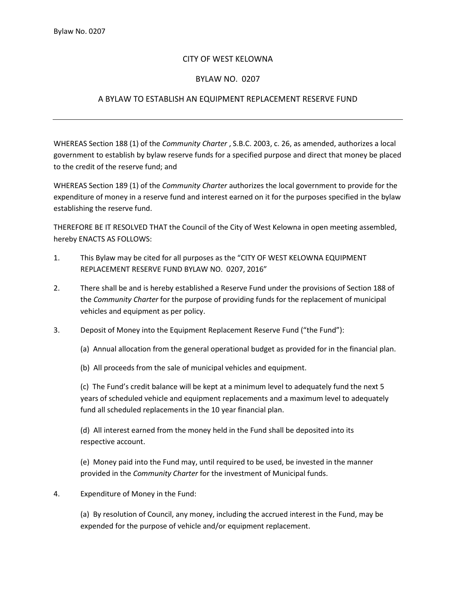## CITY OF WEST KELOWNA

## BYLAW NO. 0207

## A BYLAW TO ESTABLISH AN EQUIPMENT REPLACEMENT RESERVE FUND

WHEREAS Section 188 (1) of the *Community Charter* , S.B.C. 2003, c. 26, as amended, authorizes a local government to establish by bylaw reserve funds for a specified purpose and direct that money be placed to the credit of the reserve fund; and

WHEREAS Section 189 (1) of the *Community Charter* authorizes the local government to provide for the expenditure of money in a reserve fund and interest earned on it for the purposes specified in the bylaw establishing the reserve fund.

THEREFORE BE IT RESOLVED THAT the Council of the City of West Kelowna in open meeting assembled, hereby ENACTS AS FOLLOWS:

- 1. This Bylaw may be cited for all purposes as the "CITY OF WEST KELOWNA EQUIPMENT REPLACEMENT RESERVE FUND BYLAW NO. 0207, 2016"
- 2. There shall be and is hereby established a Reserve Fund under the provisions of Section 188 of the *Community Charter* for the purpose of providing funds for the replacement of municipal vehicles and equipment as per policy.
- 3. Deposit of Money into the Equipment Replacement Reserve Fund ("the Fund"):

(a) Annual allocation from the general operational budget as provided for in the financial plan.

(b) All proceeds from the sale of municipal vehicles and equipment.

(c) The Fund's credit balance will be kept at a minimum level to adequately fund the next 5 years of scheduled vehicle and equipment replacements and a maximum level to adequately fund all scheduled replacements in the 10 year financial plan.

(d) All interest earned from the money held in the Fund shall be deposited into its respective account.

(e) Money paid into the Fund may, until required to be used, be invested in the manner provided in the *Community Charter* for the investment of Municipal funds.

4. Expenditure of Money in the Fund:

(a) By resolution of Council, any money, including the accrued interest in the Fund, may be expended for the purpose of vehicle and/or equipment replacement.